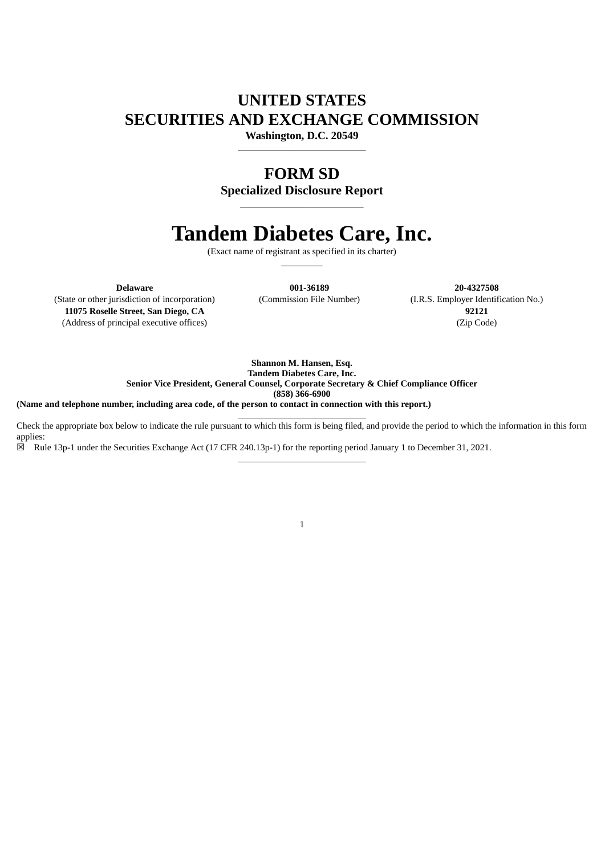## **UNITED STATES SECURITIES AND EXCHANGE COMMISSION**

**Washington, D.C. 20549** \_\_\_\_\_\_\_\_\_\_\_\_\_\_\_\_\_\_\_\_\_\_\_\_\_\_\_\_

### **FORM SD**

**Specialized Disclosure Report** \_\_\_\_\_\_\_\_\_\_\_\_\_\_\_\_\_\_\_\_\_\_\_\_\_\_\_

# **Tandem Diabetes Care, Inc.**

(Exact name of registrant as specified in its charter)  $\overline{\phantom{a}}$   $\overline{\phantom{a}}$ 

**Delaware 001-36189 20-4327508**

(State or other jurisdiction of incorporation) (Commission File Number) (I.R.S. Employer Identification No.) **11075 Roselle Street, San Diego, CA 92121** (Address of principal executive offices) (Zip Code)

> **Shannon M. Hansen, Esq. Tandem Diabetes Care, Inc. Senior Vice President, General Counsel, Corporate Secretary & Chief Compliance Officer (858) 366-6900**

(Name and telephone number, including area code, of the person to contact in connection with this report.)

 $\_$ Check the appropriate box below to indicate the rule pursuant to which this form is being filed, and provide the period to which the information in this form applies:

\_\_\_\_\_\_\_\_\_\_\_\_\_\_\_\_\_\_\_\_\_\_\_\_\_\_\_\_

☒ Rule 13p-1 under the Securities Exchange Act (17 CFR 240.13p-1) for the reporting period January 1 to December 31, 2021.

1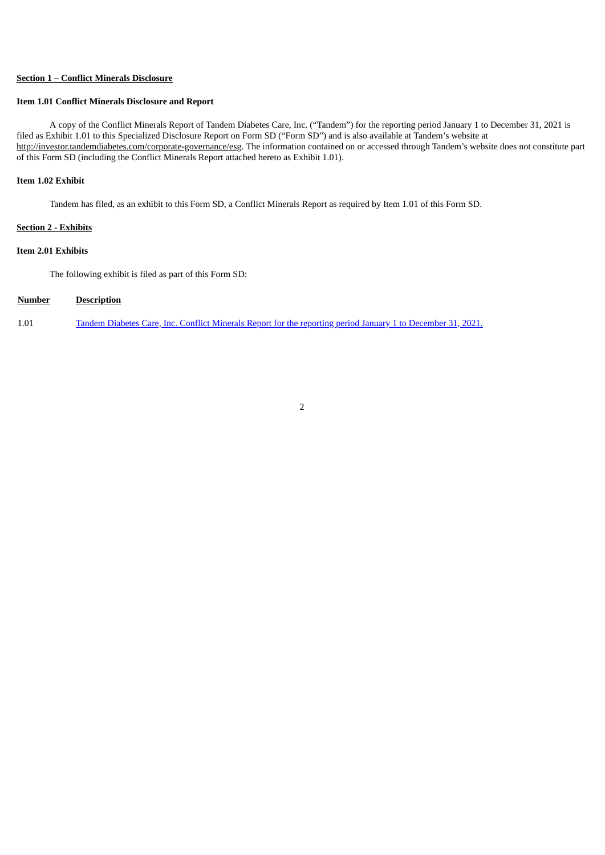#### **Section 1 – Conflict Minerals Disclosure**

#### **Item 1.01 Conflict Minerals Disclosure and Report**

A copy of the Conflict Minerals Report of Tandem Diabetes Care, Inc. ("Tandem") for the reporting period January 1 to December 31, 2021 is filed as Exhibit 1.01 to this Specialized Disclosure Report on Form SD ("Form SD") and is also available at Tandem's website at http://investor.tandemdiabetes.com/corporate-governance/esg. The information contained on or accessed through Tandem's website does not constitute part of this Form SD (including the Conflict Minerals Report attached hereto as Exhibit 1.01).

#### **Item 1.02 Exhibit**

Tandem has filed, as an exhibit to this Form SD, a Conflict Minerals Report as required by Item 1.01 of this Form SD.

#### **Section 2 - Exhibits**

#### **Item 2.01 Exhibits**

The following exhibit is filed as part of this Form SD:

#### **Number Description**

1.01 Tandem Diabetes Care, Inc. Conflict Minerals Report for the reporting period January 1 to [December](#page-3-0) 31, 202[1.](#page-3-0)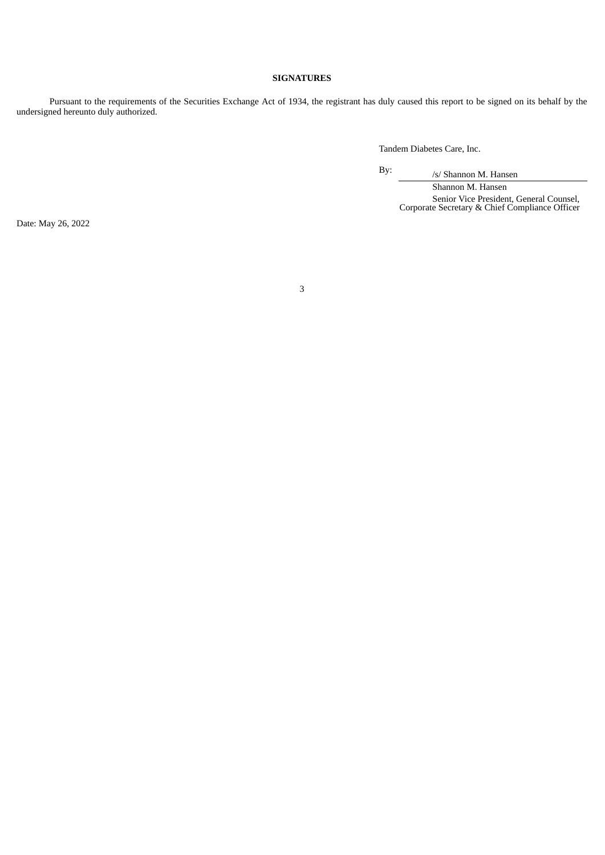#### **SIGNATURES**

Pursuant to the requirements of the Securities Exchange Act of 1934, the registrant has duly caused this report to be signed on its behalf by the undersigned hereunto duly authorized.

Tandem Diabetes Care, Inc.

By: /s/ Shannon M. Hansen

Shannon M. Hansen Senior Vice President, General Counsel, Corporate Secretary & Chief Compliance Officer

Date: May 26, 2022

3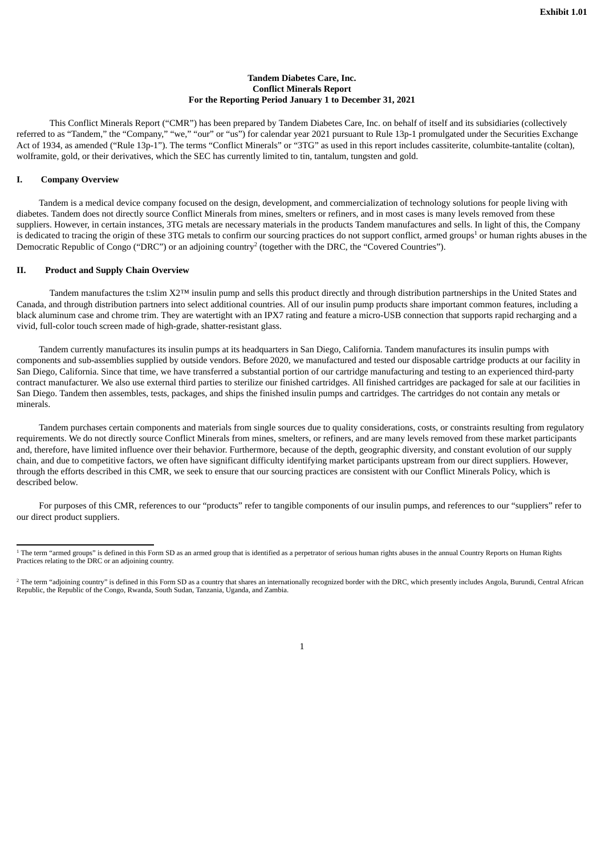#### **Tandem Diabetes Care, Inc. Conflict Minerals Report For the Reporting Period January 1 to December 31, 2021**

<span id="page-3-0"></span>This Conflict Minerals Report ("CMR") has been prepared by Tandem Diabetes Care, Inc. on behalf of itself and its subsidiaries (collectively referred to as "Tandem," the "Company," "we," "our" or "us") for calendar year 2021 pursuant to Rule 13p-1 promulgated under the Securities Exchange Act of 1934, as amended ("Rule 13p-1"). The terms "Conflict Minerals" or "3TG" as used in this report includes cassiterite, columbite-tantalite (coltan), wolframite, gold, or their derivatives, which the SEC has currently limited to tin, tantalum, tungsten and gold.

#### **I. Company Overview**

Tandem is a medical device company focused on the design, development, and commercialization of technology solutions for people living with diabetes. Tandem does not directly source Conflict Minerals from mines, smelters or refiners, and in most cases is many levels removed from these suppliers. However, in certain instances, 3TG metals are necessary materials in the products Tandem manufactures and sells. In light of this, the Company is dedicated to tracing the origin of these 3TG metals to confirm our sourcing practices do not support conflict, armed groups<sup>1</sup> or human rights abuses in the Democratic Republic of Congo ("DRC") or an adjoining country<sup>2</sup> (together with the DRC, the "Covered Countries").

#### **II. Product and Supply Chain Overview**

Tandem manufactures the t:slim X2™ insulin pump and sells this product directly and through distribution partnerships in the United States and Canada, and through distribution partners into select additional countries. All of our insulin pump products share important common features, including a black aluminum case and chrome trim. They are watertight with an IPX7 rating and feature a micro-USB connection that supports rapid recharging and a vivid, full-color touch screen made of high-grade, shatter-resistant glass.

Tandem currently manufactures its insulin pumps at its headquarters in San Diego, California. Tandem manufactures its insulin pumps with components and sub-assemblies supplied by outside vendors. Before 2020, we manufactured and tested our disposable cartridge products at our facility in San Diego, California. Since that time, we have transferred a substantial portion of our cartridge manufacturing and testing to an experienced third-party contract manufacturer. We also use external third parties to sterilize our finished cartridges. All finished cartridges are packaged for sale at our facilities in San Diego. Tandem then assembles, tests, packages, and ships the finished insulin pumps and cartridges. The cartridges do not contain any metals or minerals.

Tandem purchases certain components and materials from single sources due to quality considerations, costs, or constraints resulting from regulatory requirements. We do not directly source Conflict Minerals from mines, smelters, or refiners, and are many levels removed from these market participants and, therefore, have limited influence over their behavior. Furthermore, because of the depth, geographic diversity, and constant evolution of our supply chain, and due to competitive factors, we often have significant difficulty identifying market participants upstream from our direct suppliers. However, through the efforts described in this CMR, we seek to ensure that our sourcing practices are consistent with our Conflict Minerals Policy, which is described below.

For purposes of this CMR, references to our "products" refer to tangible components of our insulin pumps, and references to our "suppliers" refer to our direct product suppliers.



<sup>&</sup>lt;sup>1</sup> The term "armed groups" is defined in this Form SD as an armed group that is identified as a perpetrator of serious human rights abuses in the annual Country Reports on Human Rights Practices relating to the DRC or an adjoining country.

 $^2$  The term "adjoining country" is defined in this Form SD as a country that shares an internationally recognized border with the DRC, which presently includes Angola, Burundi, Central African Republic, the Republic of the Congo, Rwanda, South Sudan, Tanzania, Uganda, and Zambia.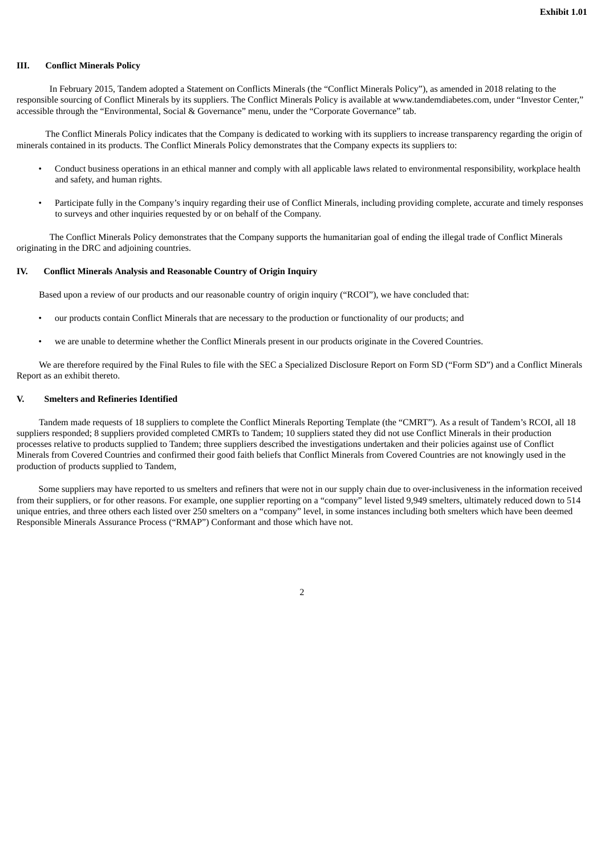#### **III. Conflict Minerals Policy**

In February 2015, Tandem adopted a Statement on Conflicts Minerals (the "Conflict Minerals Policy"), as amended in 2018 relating to the responsible sourcing of Conflict Minerals by its suppliers. The Conflict Minerals Policy is available at www.tandemdiabetes.com, under "Investor Center," accessible through the "Environmental, Social & Governance" menu, under the "Corporate Governance" tab.

The Conflict Minerals Policy indicates that the Company is dedicated to working with its suppliers to increase transparency regarding the origin of minerals contained in its products. The Conflict Minerals Policy demonstrates that the Company expects its suppliers to:

- Conduct business operations in an ethical manner and comply with all applicable laws related to environmental responsibility, workplace health and safety, and human rights.
- Participate fully in the Company's inquiry regarding their use of Conflict Minerals, including providing complete, accurate and timely responses to surveys and other inquiries requested by or on behalf of the Company.

The Conflict Minerals Policy demonstrates that the Company supports the humanitarian goal of ending the illegal trade of Conflict Minerals originating in the DRC and adjoining countries.

#### **IV. Conflict Minerals Analysis and Reasonable Country of Origin Inquiry**

Based upon a review of our products and our reasonable country of origin inquiry ("RCOI"), we have concluded that:

- our products contain Conflict Minerals that are necessary to the production or functionality of our products; and
- we are unable to determine whether the Conflict Minerals present in our products originate in the Covered Countries.

We are therefore required by the Final Rules to file with the SEC a Specialized Disclosure Report on Form SD ("Form SD") and a Conflict Minerals Report as an exhibit thereto.

#### **V. Smelters and Refineries Identified**

Tandem made requests of 18 suppliers to complete the Conflict Minerals Reporting Template (the "CMRT"). As a result of Tandem's RCOI, all 18 suppliers responded; 8 suppliers provided completed CMRTs to Tandem; 10 suppliers stated they did not use Conflict Minerals in their production processes relative to products supplied to Tandem; three suppliers described the investigations undertaken and their policies against use of Conflict Minerals from Covered Countries and confirmed their good faith beliefs that Conflict Minerals from Covered Countries are not knowingly used in the production of products supplied to Tandem,

Some suppliers may have reported to us smelters and refiners that were not in our supply chain due to over-inclusiveness in the information received from their suppliers, or for other reasons. For example, one supplier reporting on a "company" level listed 9,949 smelters, ultimately reduced down to 514 unique entries, and three others each listed over 250 smelters on a "company" level, in some instances including both smelters which have been deemed Responsible Minerals Assurance Process ("RMAP") Conformant and those which have not.

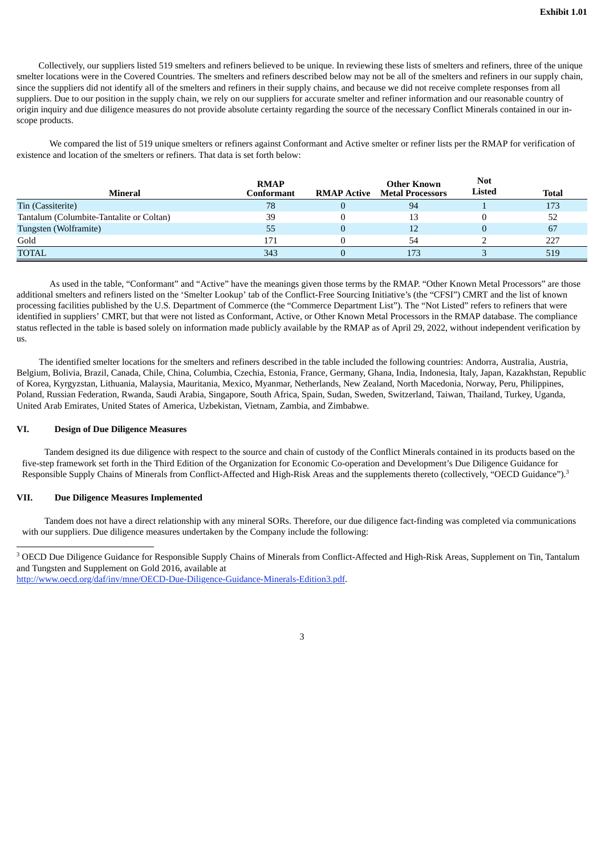Collectively, our suppliers listed 519 smelters and refiners believed to be unique. In reviewing these lists of smelters and refiners, three of the unique smelter locations were in the Covered Countries. The smelters and refiners described below may not be all of the smelters and refiners in our supply chain, since the suppliers did not identify all of the smelters and refiners in their supply chains, and because we did not receive complete responses from all suppliers. Due to our position in the supply chain, we rely on our suppliers for accurate smelter and refiner information and our reasonable country of origin inquiry and due diligence measures do not provide absolute certainty regarding the source of the necessary Conflict Minerals contained in our inscope products.

We compared the list of 519 unique smelters or refiners against Conformant and Active smelter or refiner lists per the RMAP for verification of existence and location of the smelters or refiners. That data is set forth below:

| Mineral                                  | <b>RMAP</b><br>Conformant | RMAP Active | Other Known<br><b>Metal Processors</b> | <b>Not</b><br><b>Listed</b> | Total |
|------------------------------------------|---------------------------|-------------|----------------------------------------|-----------------------------|-------|
| Tin (Cassiterite)                        | 78                        |             | 94                                     |                             | 173   |
| Tantalum (Columbite-Tantalite or Coltan) | 39                        |             | 13                                     |                             | 52    |
| Tungsten (Wolframite)                    | 55                        |             | 12                                     |                             | 67    |
| Gold                                     | 171                       |             | 54                                     |                             | 227   |
| <b>TOTAL</b>                             | 343                       |             | 173                                    |                             | 519   |

As used in the table, "Conformant" and "Active" have the meanings given those terms by the RMAP. "Other Known Metal Processors" are those additional smelters and refiners listed on the 'Smelter Lookup' tab of the Conflict-Free Sourcing Initiative's (the "CFSI") CMRT and the list of known processing facilities published by the U.S. Department of Commerce (the "Commerce Department List"). The "Not Listed" refers to refiners that were identified in suppliers' CMRT, but that were not listed as Conformant, Active, or Other Known Metal Processors in the RMAP database. The compliance status reflected in the table is based solely on information made publicly available by the RMAP as of April 29, 2022, without independent verification by us.

The identified smelter locations for the smelters and refiners described in the table included the following countries: Andorra, Australia, Austria, Belgium, Bolivia, Brazil, Canada, Chile, China, Columbia, Czechia, Estonia, France, Germany, Ghana, India, Indonesia, Italy, Japan, Kazakhstan, Republic of Korea, Kyrgyzstan, Lithuania, Malaysia, Mauritania, Mexico, Myanmar, Netherlands, New Zealand, North Macedonia, Norway, Peru, Philippines, Poland, Russian Federation, Rwanda, Saudi Arabia, Singapore, South Africa, Spain, Sudan, Sweden, Switzerland, Taiwan, Thailand, Turkey, Uganda, United Arab Emirates, United States of America, Uzbekistan, Vietnam, Zambia, and Zimbabwe.

#### **VI. Design of Due Diligence Measures**

Tandem designed its due diligence with respect to the source and chain of custody of the Conflict Minerals contained in its products based on the five-step framework set forth in the Third Edition of the Organization for Economic Co-operation and Development's Due Diligence Guidance for Responsible Supply Chains of Minerals from Conflict-Affected and High-Risk Areas and the supplements thereto (collectively, "OECD Guidance").<sup>3</sup>

#### **VII. Due Diligence Measures Implemented**

Tandem does not have a direct relationship with any mineral SORs. Therefore, our due diligence fact-finding was completed via communications with our suppliers. Due diligence measures undertaken by the Company include the following:



<sup>&</sup>lt;sup>3</sup> OECD Due Diligence Guidance for Responsible Supply Chains of Minerals from Conflict-Affected and High-Risk Areas, Supplement on Tin, Tantalum and Tungsten and Supplement on Gold 2016, available at

http://www.oecd.org/daf/inv/mne/OECD-Due-Diligence-Guidance-Minerals-Edition3.pdf.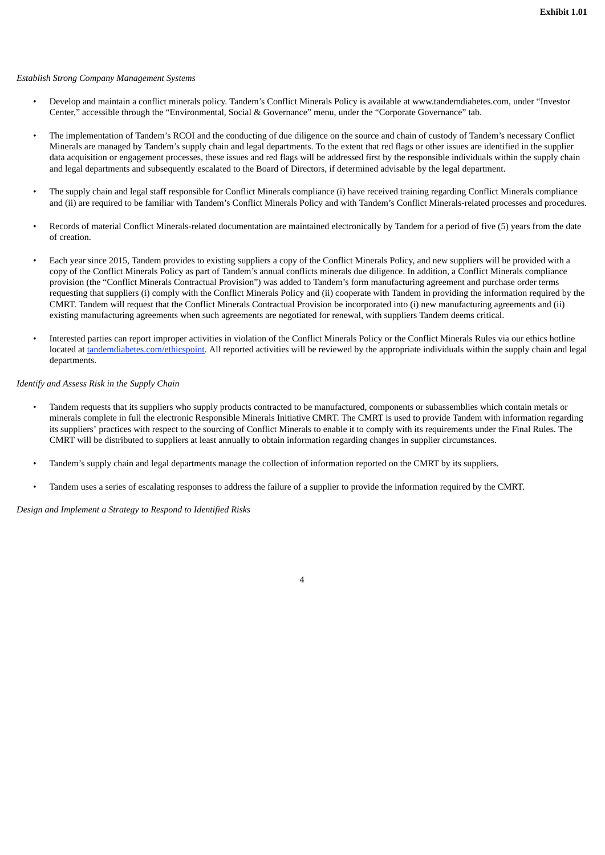#### *Establish Strong Company Management Systems*

- Develop and maintain a conflict minerals policy. Tandem's Conflict Minerals Policy is available at www.tandemdiabetes.com, under "Investor Center," accessible through the "Environmental, Social & Governance" menu, under the "Corporate Governance" tab.
- The implementation of Tandem's RCOI and the conducting of due diligence on the source and chain of custody of Tandem's necessary Conflict Minerals are managed by Tandem's supply chain and legal departments. To the extent that red flags or other issues are identified in the supplier data acquisition or engagement processes, these issues and red flags will be addressed first by the responsible individuals within the supply chain and legal departments and subsequently escalated to the Board of Directors, if determined advisable by the legal department.
- The supply chain and legal staff responsible for Conflict Minerals compliance (i) have received training regarding Conflict Minerals compliance and (ii) are required to be familiar with Tandem's Conflict Minerals Policy and with Tandem's Conflict Minerals-related processes and procedures.
- Records of material Conflict Minerals-related documentation are maintained electronically by Tandem for a period of five (5) years from the date of creation.
- Each year since 2015, Tandem provides to existing suppliers a copy of the Conflict Minerals Policy, and new suppliers will be provided with a copy of the Conflict Minerals Policy as part of Tandem's annual conflicts minerals due diligence. In addition, a Conflict Minerals compliance provision (the "Conflict Minerals Contractual Provision") was added to Tandem's form manufacturing agreement and purchase order terms requesting that suppliers (i) comply with the Conflict Minerals Policy and (ii) cooperate with Tandem in providing the information required by the CMRT. Tandem will request that the Conflict Minerals Contractual Provision be incorporated into (i) new manufacturing agreements and (ii) existing manufacturing agreements when such agreements are negotiated for renewal, with suppliers Tandem deems critical.
- Interested parties can report improper activities in violation of the Conflict Minerals Policy or the Conflict Minerals Rules via our ethics hotline located at tandemdiabetes.com/ethicspoint. All reported activities will be reviewed by the appropriate individuals within the supply chain and legal departments.

#### *Identify and Assess Risk in the Supply Chain*

- Tandem requests that its suppliers who supply products contracted to be manufactured, components or subassemblies which contain metals or minerals complete in full the electronic Responsible Minerals Initiative CMRT. The CMRT is used to provide Tandem with information regarding its suppliers' practices with respect to the sourcing of Conflict Minerals to enable it to comply with its requirements under the Final Rules. The CMRT will be distributed to suppliers at least annually to obtain information regarding changes in supplier circumstances.
- Tandem's supply chain and legal departments manage the collection of information reported on the CMRT by its suppliers.
- Tandem uses a series of escalating responses to address the failure of a supplier to provide the information required by the CMRT.

*Design and Implement a Strategy to Respond to Identified Risks*

4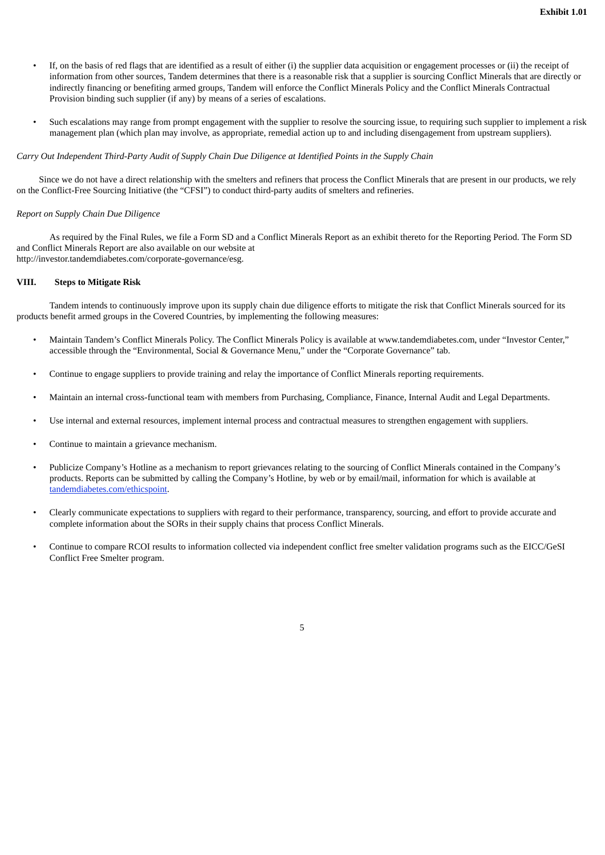- If, on the basis of red flags that are identified as a result of either (i) the supplier data acquisition or engagement processes or (ii) the receipt of information from other sources, Tandem determines that there is a reasonable risk that a supplier is sourcing Conflict Minerals that are directly or indirectly financing or benefiting armed groups, Tandem will enforce the Conflict Minerals Policy and the Conflict Minerals Contractual Provision binding such supplier (if any) by means of a series of escalations.
- Such escalations may range from prompt engagement with the supplier to resolve the sourcing issue, to requiring such supplier to implement a risk management plan (which plan may involve, as appropriate, remedial action up to and including disengagement from upstream suppliers).

#### Carry Out Independent Third-Party Audit of Supply Chain Due Diligence at Identified Points in the Supply Chain

Since we do not have a direct relationship with the smelters and refiners that process the Conflict Minerals that are present in our products, we rely on the Conflict-Free Sourcing Initiative (the "CFSI") to conduct third-party audits of smelters and refineries.

#### *Report on Supply Chain Due Diligence*

As required by the Final Rules, we file a Form SD and a Conflict Minerals Report as an exhibit thereto for the Reporting Period. The Form SD and Conflict Minerals Report are also available on our website at http://investor.tandemdiabetes.com/corporate-governance/esg.

#### **VIII. Steps to Mitigate Risk**

Tandem intends to continuously improve upon its supply chain due diligence efforts to mitigate the risk that Conflict Minerals sourced for its products benefit armed groups in the Covered Countries, by implementing the following measures:

- Maintain Tandem's Conflict Minerals Policy. The Conflict Minerals Policy is available at www.tandemdiabetes.com, under "Investor Center," accessible through the "Environmental, Social & Governance Menu," under the "Corporate Governance" tab.
- Continue to engage suppliers to provide training and relay the importance of Conflict Minerals reporting requirements.
- Maintain an internal cross-functional team with members from Purchasing, Compliance, Finance, Internal Audit and Legal Departments.
- Use internal and external resources, implement internal process and contractual measures to strengthen engagement with suppliers.
- Continue to maintain a grievance mechanism.
- Publicize Company's Hotline as a mechanism to report grievances relating to the sourcing of Conflict Minerals contained in the Company's products. Reports can be submitted by calling the Company's Hotline, by web or by email/mail, information for which is available at tandemdiabetes.com/ethicspoint.
- Clearly communicate expectations to suppliers with regard to their performance, transparency, sourcing, and effort to provide accurate and complete information about the SORs in their supply chains that process Conflict Minerals.
- Continue to compare RCOI results to information collected via independent conflict free smelter validation programs such as the EICC/GeSI Conflict Free Smelter program.